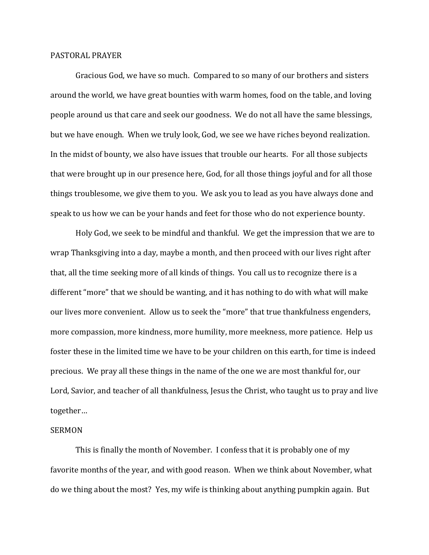## PASTORAL PRAYER

 Gracious God, we have so much. Compared to so many of our brothers and sisters around the world, we have great bounties with warm homes, food on the table, and loving people around us that care and seek our goodness. We do not all have the same blessings, but we have enough. When we truly look, God, we see we have riches beyond realization. In the midst of bounty, we also have issues that trouble our hearts. For all those subjects that were brought up in our presence here, God, for all those things joyful and for all those things troublesome, we give them to you. We ask you to lead as you have always done and speak to us how we can be your hands and feet for those who do not experience bounty.

 Holy God, we seek to be mindful and thankful. We get the impression that we are to wrap Thanksgiving into a day, maybe a month, and then proceed with our lives right after that, all the time seeking more of all kinds of things. You call us to recognize there is a different "more" that we should be wanting, and it has nothing to do with what will make our lives more convenient. Allow us to seek the "more" that true thankfulness engenders, more compassion, more kindness, more humility, more meekness, more patience. Help us foster these in the limited time we have to be your children on this earth, for time is indeed precious. We pray all these things in the name of the one we are most thankful for, our Lord, Savior, and teacher of all thankfulness, Jesus the Christ, who taught us to pray and live together…

## SERMON

 This is finally the month of November. I confess that it is probably one of my favorite months of the year, and with good reason. When we think about November, what do we thing about the most? Yes, my wife is thinking about anything pumpkin again. But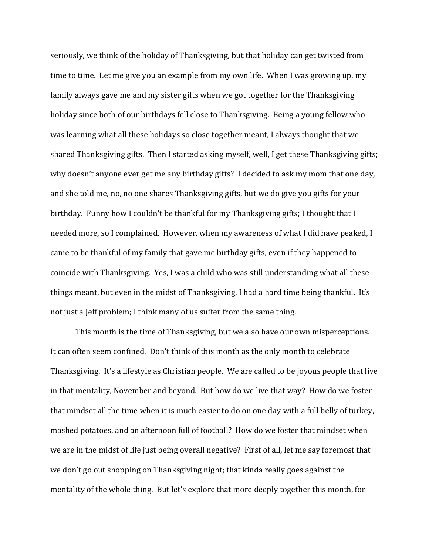seriously, we think of the holiday of Thanksgiving, but that holiday can get twisted from time to time. Let me give you an example from my own life. When I was growing up, my family always gave me and my sister gifts when we got together for the Thanksgiving holiday since both of our birthdays fell close to Thanksgiving. Being a young fellow who was learning what all these holidays so close together meant, I always thought that we shared Thanksgiving gifts. Then I started asking myself, well, I get these Thanksgiving gifts; why doesn't anyone ever get me any birthday gifts? I decided to ask my mom that one day, and she told me, no, no one shares Thanksgiving gifts, but we do give you gifts for your birthday. Funny how I couldn't be thankful for my Thanksgiving gifts; I thought that I needed more, so I complained. However, when my awareness of what I did have peaked, I came to be thankful of my family that gave me birthday gifts, even if they happened to coincide with Thanksgiving. Yes, I was a child who was still understanding what all these things meant, but even in the midst of Thanksgiving, I had a hard time being thankful. It's not just a Jeff problem; I think many of us suffer from the same thing.

 This month is the time of Thanksgiving, but we also have our own misperceptions. It can often seem confined. Don't think of this month as the only month to celebrate Thanksgiving. It's a lifestyle as Christian people. We are called to be joyous people that live in that mentality, November and beyond. But how do we live that way? How do we foster that mindset all the time when it is much easier to do on one day with a full belly of turkey, mashed potatoes, and an afternoon full of football? How do we foster that mindset when we are in the midst of life just being overall negative? First of all, let me say foremost that we don't go out shopping on Thanksgiving night; that kinda really goes against the mentality of the whole thing. But let's explore that more deeply together this month, for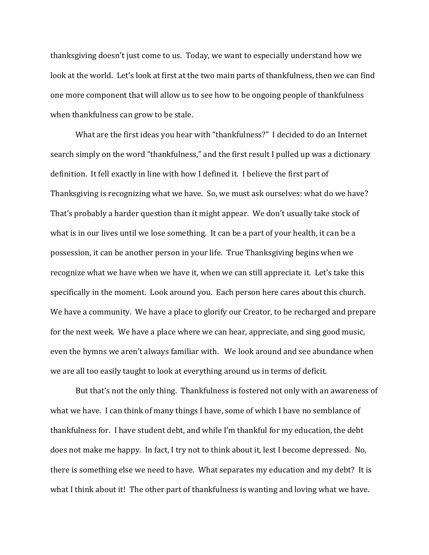thanksgiving doesn't just come to us. Today, we want to especially understand how we look at the world. Let's look at first at the two main parts of thankfulness, then we can find one more component that will allow us to see how to be ongoing people of thankfulness when thankfulness can grow to be stale.

What are the first ideas you hear with "thankfulness?" I decided to do an Internet search simply on the word "thankfulness," and the first result I pulled up was a dictionary definition. It fell exactly in line with how I defined it. I believe the first part of Thanksgiving is recognizing what we have. So, we must ask ourselves: what do we have? That's probably a harder question than it might appear. We don't usually take stock of what is in our lives until we lose something. It can be a part of your health, it can be a possession, it can be another person in your life. True Thanksgiving begins when we recognize what we have when we have it, when we can still appreciate it. Let's take this specifically in the moment. Look around you. Each person here cares about this church. We have a community. We have a place to glorify our Creator, to be recharged and prepare for the next week. We have a place where we can hear, appreciate, and sing good music, even the hymns we aren't always familiar with. We look around and see abundance when we are all too easily taught to look at everything around us in terms of deficit.

 But that's not the only thing. Thankfulness is fostered not only with an awareness of what we have. I can think of many things I have, some of which I have no semblance of thankfulness for. I have student debt, and while I'm thankful for my education, the debt does not make me happy. In fact, I try not to think about it, lest I become depressed. No, there is something else we need to have. What separates my education and my debt? It is what I think about it! The other part of thankfulness is wanting and loving what we have.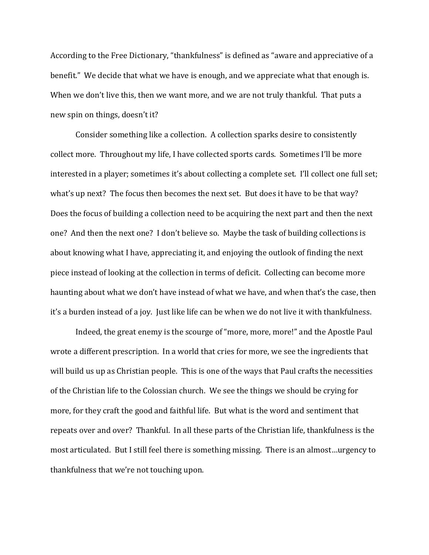According to the Free Dictionary, "thankfulness" is defined as "aware and appreciative of a benefit." We decide that what we have is enough, and we appreciate what that enough is. When we don't live this, then we want more, and we are not truly thankful. That puts a new spin on things, doesn't it?

Consider something like a collection. A collection sparks desire to consistently collect more. Throughout my life, I have collected sports cards. Sometimes I'll be more interested in a player; sometimes it's about collecting a complete set. I'll collect one full set; what's up next? The focus then becomes the next set. But does it have to be that way? Does the focus of building a collection need to be acquiring the next part and then the next one? And then the next one? I don't believe so. Maybe the task of building collections is about knowing what I have, appreciating it, and enjoying the outlook of finding the next piece instead of looking at the collection in terms of deficit. Collecting can become more haunting about what we don't have instead of what we have, and when that's the case, then it's a burden instead of a joy. Just like life can be when we do not live it with thankfulness.

Indeed, the great enemy is the scourge of "more, more, more!" and the Apostle Paul wrote a different prescription. In a world that cries for more, we see the ingredients that will build us up as Christian people. This is one of the ways that Paul crafts the necessities of the Christian life to the Colossian church. We see the things we should be crying for more, for they craft the good and faithful life. But what is the word and sentiment that repeats over and over? Thankful. In all these parts of the Christian life, thankfulness is the most articulated. But I still feel there is something missing. There is an almost…urgency to thankfulness that we're not touching upon.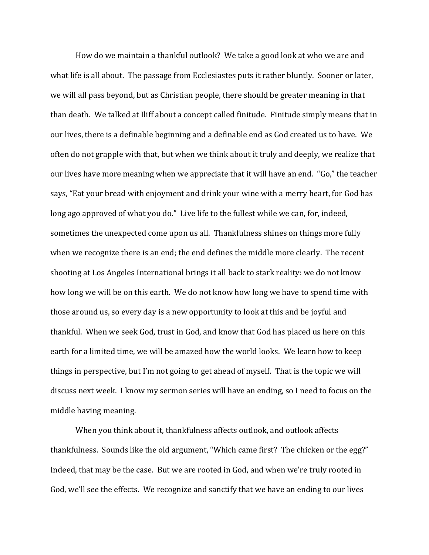How do we maintain a thankful outlook? We take a good look at who we are and what life is all about. The passage from Ecclesiastes puts it rather bluntly. Sooner or later, we will all pass beyond, but as Christian people, there should be greater meaning in that than death. We talked at Iliff about a concept called finitude. Finitude simply means that in our lives, there is a definable beginning and a definable end as God created us to have. We often do not grapple with that, but when we think about it truly and deeply, we realize that our lives have more meaning when we appreciate that it will have an end. "Go," the teacher says, "Eat your bread with enjoyment and drink your wine with a merry heart, for God has long ago approved of what you do." Live life to the fullest while we can, for, indeed, sometimes the unexpected come upon us all. Thankfulness shines on things more fully when we recognize there is an end; the end defines the middle more clearly. The recent shooting at Los Angeles International brings it all back to stark reality: we do not know how long we will be on this earth. We do not know how long we have to spend time with those around us, so every day is a new opportunity to look at this and be joyful and thankful. When we seek God, trust in God, and know that God has placed us here on this earth for a limited time, we will be amazed how the world looks. We learn how to keep things in perspective, but I'm not going to get ahead of myself. That is the topic we will discuss next week. I know my sermon series will have an ending, so I need to focus on the middle having meaning.

 When you think about it, thankfulness affects outlook, and outlook affects thankfulness. Sounds like the old argument, "Which came first? The chicken or the egg?" Indeed, that may be the case. But we are rooted in God, and when we're truly rooted in God, we'll see the effects. We recognize and sanctify that we have an ending to our lives